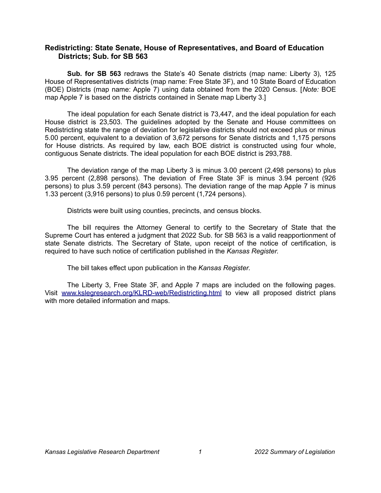## **Redistricting: State Senate, House of Representatives, and Board of Education Districts; Sub. for SB 563**

**Sub. for SB 563** redraws the State's 40 Senate districts (map name: Liberty 3), 125 House of Representatives districts (map name: Free State 3F), and 10 State Board of Education (BOE) Districts (map name: Apple 7) using data obtained from the 2020 Census. [*Note:* BOE map Apple 7 is based on the districts contained in Senate map Liberty 3.]

The ideal population for each Senate district is 73,447, and the ideal population for each House district is 23,503. The guidelines adopted by the Senate and House committees on Redistricting state the range of deviation for legislative districts should not exceed plus or minus 5.00 percent, equivalent to a deviation of 3,672 persons for Senate districts and 1,175 persons for House districts. As required by law, each BOE district is constructed using four whole, contiguous Senate districts. The ideal population for each BOE district is 293,788.

The deviation range of the map Liberty 3 is minus 3.00 percent (2,498 persons) to plus 3.95 percent (2,898 persons). The deviation of Free State 3F is minus 3.94 percent (926 persons) to plus 3.59 percent (843 persons). The deviation range of the map Apple 7 is minus 1.33 percent (3,916 persons) to plus 0.59 percent (1,724 persons).

Districts were built using counties, precincts, and census blocks.

The bill requires the Attorney General to certify to the Secretary of State that the Supreme Court has entered a judgment that 2022 Sub. for SB 563 is a valid reapportionment of state Senate districts. The Secretary of State, upon receipt of the notice of certification, is required to have such notice of certification published in the *Kansas Register*.

The bill takes effect upon publication in the *Kansas Register*.

The Liberty 3, Free State 3F, and Apple 7 maps are included on the following pages. Visit [www.kslegresearch.org/KLRD-web/Redistricting.html](http://www.kslegresearch.org/KLRD-web/Redistricting.html) to view all proposed district plans with more detailed information and maps.